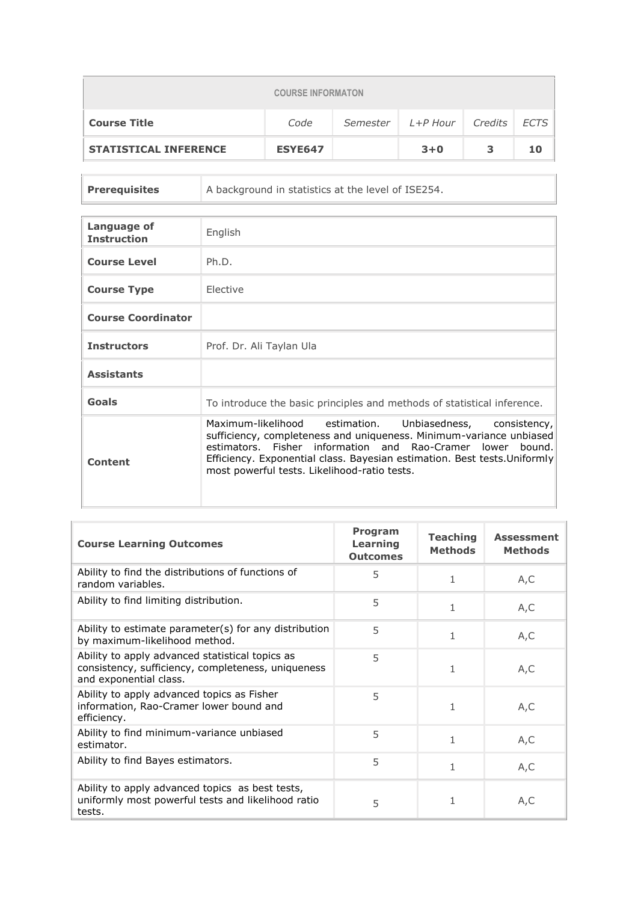| <b>COURSE INFORMATON</b>                                         |                |  |         |  |    |  |  |  |
|------------------------------------------------------------------|----------------|--|---------|--|----|--|--|--|
| L+P Hour Credits ECTS<br><b>Course Title</b><br>Code<br>Semester |                |  |         |  |    |  |  |  |
| <b>STATISTICAL INFERENCE</b>                                     | <b>ESYE647</b> |  | $3 + 0$ |  | 10 |  |  |  |

| <b>Prerequisites</b> | A background in statistics at the level of ISE254. |
|----------------------|----------------------------------------------------|
|                      |                                                    |

| Language of<br><b>Instruction</b> | English                                                                                                                                                                                                                                                                                                                           |
|-----------------------------------|-----------------------------------------------------------------------------------------------------------------------------------------------------------------------------------------------------------------------------------------------------------------------------------------------------------------------------------|
| <b>Course Level</b>               | Ph.D.                                                                                                                                                                                                                                                                                                                             |
| <b>Course Type</b>                | Elective                                                                                                                                                                                                                                                                                                                          |
| <b>Course Coordinator</b>         |                                                                                                                                                                                                                                                                                                                                   |
| <b>Instructors</b>                | Prof. Dr. Ali Taylan Ula                                                                                                                                                                                                                                                                                                          |
| <b>Assistants</b>                 |                                                                                                                                                                                                                                                                                                                                   |
| Goals                             | To introduce the basic principles and methods of statistical inference.                                                                                                                                                                                                                                                           |
| Content                           | Maximum-likelihood estimation.<br>Unbiasedness,<br>consistency,<br>sufficiency, completeness and uniqueness. Minimum-variance unbiased<br>estimators. Fisher information and Rao-Cramer lower bound.<br>Efficiency. Exponential class. Bayesian estimation. Best tests. Uniformly<br>most powerful tests. Likelihood-ratio tests. |

| <b>Course Learning Outcomes</b>                                                                                                 | Program<br>Learning<br><b>Outcomes</b> | <b>Teaching</b><br><b>Methods</b> | <b>Assessment</b><br><b>Methods</b> |
|---------------------------------------------------------------------------------------------------------------------------------|----------------------------------------|-----------------------------------|-------------------------------------|
| Ability to find the distributions of functions of<br>random variables.                                                          | 5                                      | 1                                 | A, C                                |
| Ability to find limiting distribution.                                                                                          | 5                                      | $\mathbf{1}$                      | A, C                                |
| Ability to estimate parameter(s) for any distribution<br>by maximum-likelihood method.                                          | 5                                      | 1                                 | A, C                                |
| Ability to apply advanced statistical topics as<br>consistency, sufficiency, completeness, uniqueness<br>and exponential class. | 5                                      | 1                                 | A,C                                 |
| Ability to apply advanced topics as Fisher<br>information, Rao-Cramer lower bound and<br>efficiency.                            | 5                                      | 1                                 | A,C                                 |
| Ability to find minimum-variance unbiased<br>estimator.                                                                         | 5                                      | $\mathbf{1}$                      | A, C                                |
| Ability to find Bayes estimators.                                                                                               | 5                                      | $\mathbf{1}$                      | A, C                                |
| Ability to apply advanced topics as best tests,<br>uniformly most powerful tests and likelihood ratio<br>tests.                 | 5                                      | 1                                 | A,C                                 |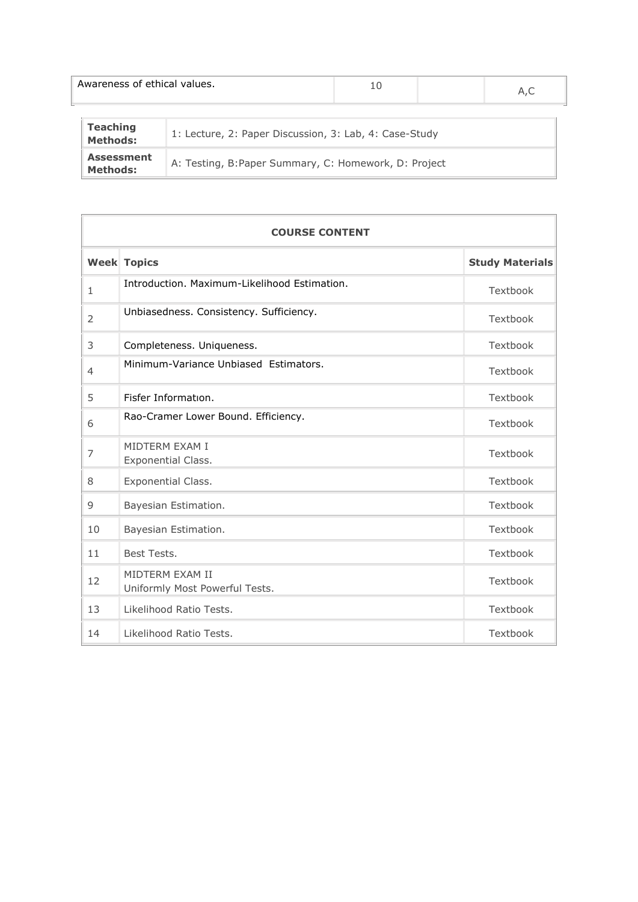|                                                                                               | Awareness of ethical values. |  | 10 |  | A.C |
|-----------------------------------------------------------------------------------------------|------------------------------|--|----|--|-----|
| <b>Teaching</b><br>1: Lecture, 2: Paper Discussion, 3: Lab, 4: Case-Study<br><b>Methods:</b>  |                              |  |    |  |     |
| <b>Assessment</b><br>A: Testing, B: Paper Summary, C: Homework, D: Project<br><b>Methods:</b> |                              |  |    |  |     |

|                | <b>COURSE CONTENT</b>                             |                        |  |  |  |  |
|----------------|---------------------------------------------------|------------------------|--|--|--|--|
|                | <b>Week Topics</b>                                | <b>Study Materials</b> |  |  |  |  |
| $\mathbf{1}$   | Introduction, Maximum-Likelihood Estimation.      | Textbook               |  |  |  |  |
| 2              | Unbiasedness. Consistency. Sufficiency.           | Textbook               |  |  |  |  |
| 3              | Completeness. Uniqueness.                         | Textbook               |  |  |  |  |
| $\overline{4}$ | Minimum-Variance Unbiased Estimators.             | Textbook               |  |  |  |  |
| 5              | Fisfer Information.                               | Textbook               |  |  |  |  |
| 6              | Rao-Cramer Lower Bound. Efficiency.               | Textbook               |  |  |  |  |
| 7              | MIDTFRM FXAM I<br>Exponential Class.              | Textbook               |  |  |  |  |
| 8              | Exponential Class.                                | Textbook               |  |  |  |  |
| 9              | Bayesian Estimation.                              | Textbook               |  |  |  |  |
| 10             | Bayesian Estimation.                              | Textbook               |  |  |  |  |
| 11             | Best Tests.                                       | Textbook               |  |  |  |  |
| 12             | MIDTERM EXAM II<br>Uniformly Most Powerful Tests. | Textbook               |  |  |  |  |
| 13             | Likelihood Ratio Tests.                           | Textbook               |  |  |  |  |
| 14             | Likelihood Ratio Tests.                           | Textbook               |  |  |  |  |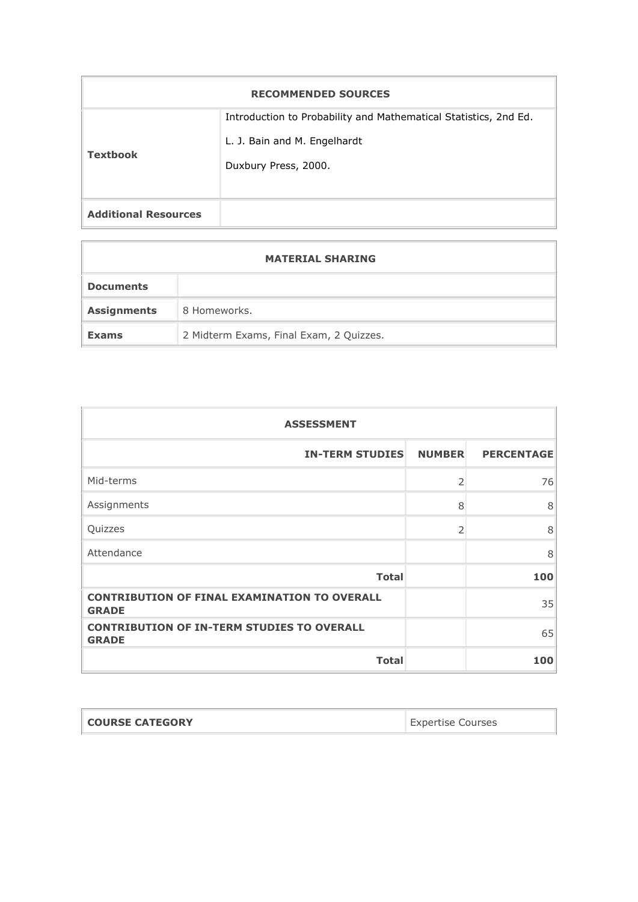| <b>RECOMMENDED SOURCES</b>  |                                                                                                                          |  |  |  |
|-----------------------------|--------------------------------------------------------------------------------------------------------------------------|--|--|--|
| <b>Textbook</b>             | Introduction to Probability and Mathematical Statistics, 2nd Ed.<br>L. J. Bain and M. Engelhardt<br>Duxbury Press, 2000. |  |  |  |
| <b>Additional Resources</b> |                                                                                                                          |  |  |  |

| <b>MATERIAL SHARING</b> |                                         |  |  |
|-------------------------|-----------------------------------------|--|--|
| <b>Documents</b>        |                                         |  |  |
| <b>Assignments</b>      | 8 Homeworks.                            |  |  |
| <b>Exams</b>            | 2 Midterm Exams, Final Exam, 2 Quizzes. |  |  |

| <b>ASSESSMENT</b>                                                   |                          |                   |  |  |
|---------------------------------------------------------------------|--------------------------|-------------------|--|--|
| <b>IN-TERM STUDIES</b>                                              | <b>NUMBER</b>            | <b>PERCENTAGE</b> |  |  |
| Mid-terms                                                           | $\overline{\phantom{a}}$ | 76                |  |  |
| Assignments                                                         | 8                        | 8                 |  |  |
| Quizzes                                                             | 2                        | 8                 |  |  |
| Attendance                                                          |                          | 8                 |  |  |
| <b>Total</b>                                                        |                          | 100               |  |  |
| <b>CONTRIBUTION OF FINAL EXAMINATION TO OVERALL</b><br><b>GRADE</b> |                          | 35                |  |  |
| <b>CONTRIBUTION OF IN-TERM STUDIES TO OVERALL</b><br><b>GRADE</b>   |                          | 65                |  |  |
| <b>Total</b>                                                        |                          | 100               |  |  |

| <b>COURSE CATEGORY</b><br><b>Expertise Courses</b> |  |
|----------------------------------------------------|--|
|----------------------------------------------------|--|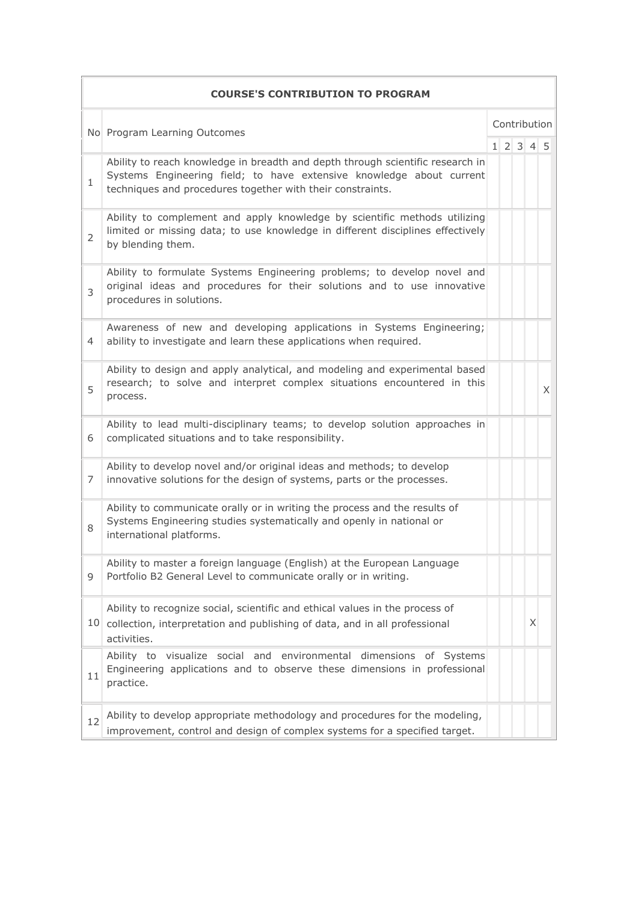|                | <b>COURSE'S CONTRIBUTION TO PROGRAM</b>                                                                                                                                                                              |  |  |                     |   |   |  |  |
|----------------|----------------------------------------------------------------------------------------------------------------------------------------------------------------------------------------------------------------------|--|--|---------------------|---|---|--|--|
|                | No Program Learning Outcomes                                                                                                                                                                                         |  |  | Contribution        |   |   |  |  |
|                |                                                                                                                                                                                                                      |  |  | $1 \t2 \t3 \t4 \t5$ |   |   |  |  |
| $\mathbf{1}$   | Ability to reach knowledge in breadth and depth through scientific research in<br>Systems Engineering field; to have extensive knowledge about current<br>techniques and procedures together with their constraints. |  |  |                     |   |   |  |  |
| $\overline{2}$ | Ability to complement and apply knowledge by scientific methods utilizing<br>limited or missing data; to use knowledge in different disciplines effectively<br>by blending them.                                     |  |  |                     |   |   |  |  |
| 3              | Ability to formulate Systems Engineering problems; to develop novel and<br>original ideas and procedures for their solutions and to use innovative<br>procedures in solutions.                                       |  |  |                     |   |   |  |  |
| 4              | Awareness of new and developing applications in Systems Engineering;<br>ability to investigate and learn these applications when required.                                                                           |  |  |                     |   |   |  |  |
| 5              | Ability to design and apply analytical, and modeling and experimental based<br>research; to solve and interpret complex situations encountered in this<br>process.                                                   |  |  |                     |   | X |  |  |
| 6              | Ability to lead multi-disciplinary teams; to develop solution approaches in<br>complicated situations and to take responsibility.                                                                                    |  |  |                     |   |   |  |  |
| 7              | Ability to develop novel and/or original ideas and methods; to develop<br>innovative solutions for the design of systems, parts or the processes.                                                                    |  |  |                     |   |   |  |  |
| 8              | Ability to communicate orally or in writing the process and the results of<br>Systems Engineering studies systematically and openly in national or<br>international platforms.                                       |  |  |                     |   |   |  |  |
| 9              | Ability to master a foreign language (English) at the European Language<br>Portfolio B2 General Level to communicate orally or in writing.                                                                           |  |  |                     |   |   |  |  |
|                | Ability to recognize social, scientific and ethical values in the process of<br>10 collection, interpretation and publishing of data, and in all professional<br>activities.                                         |  |  |                     | X |   |  |  |
| 11             | Ability to visualize social and environmental dimensions of Systems<br>Engineering applications and to observe these dimensions in professional<br>practice.                                                         |  |  |                     |   |   |  |  |
| 12             | Ability to develop appropriate methodology and procedures for the modeling,<br>improvement, control and design of complex systems for a specified target.                                                            |  |  |                     |   |   |  |  |